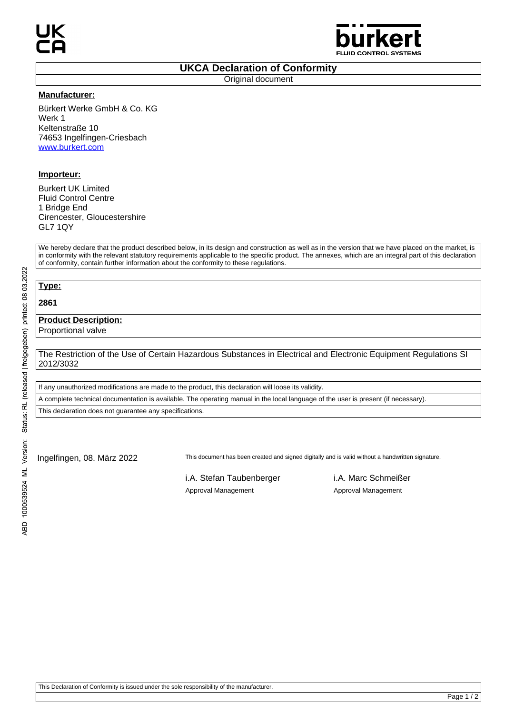

### **UKCA Declaration of Conformity**

Original document

#### **Manufacturer:**

Bürkert Werke GmbH & Co. KG Werk 1 Keltenstraße 10 74653 Ingelfingen-Criesbach www.burkert.com

## **Importeur:**

Burkert UK Limited Fluid Control Centre 1 Bridge End Cirencester, Gloucestershire GL7 1QY

We hereby declare that the product described below, in its design and construction as well as in the version that we have placed on the market, is in conformity with the relevant statutory requirements applicable to the specific product. The annexes, which are an integral part of this declaration of conformity, contain further information about the conformity to these regulations.

# **Type: 2861**

## **Product Description:**

Proportional valve

The Restriction of the Use of Certain Hazardous Substances in Electrical and Electronic Equipment Regulations SI 2012/3032

If any unauthorized modifications are made to the product, this declaration will loose its validity.

A complete technical documentation is available. The operating manual in the local language of the user is present (if necessary).

This declaration does not guarantee any specifications.

Ingelfingen, 08. März 2022 This document has been created and signed digitally and is valid without a handwritten signature.

i.A. Stefan Taubenberger i.A. Marc Schmeißer Approval Management Approval Management